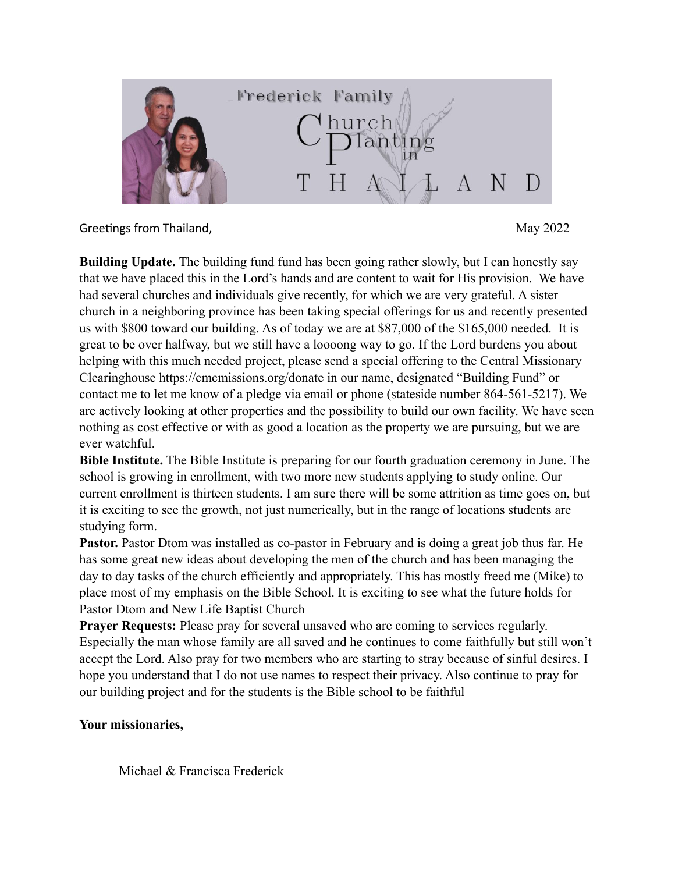

Greetings from Thailand,  $\frac{1}{2}$  and  $\frac{1}{2}$  and  $\frac{1}{2}$  and  $\frac{1}{2}$  and  $\frac{1}{2}$  and  $\frac{1}{2}$  and  $\frac{1}{2}$  and  $\frac{1}{2}$  and  $\frac{1}{2}$  and  $\frac{1}{2}$  and  $\frac{1}{2}$  and  $\frac{1}{2}$  and  $\frac{1}{2}$  and  $\frac{1}{2}$  and

**Building Update.** The building fund fund has been going rather slowly, but I can honestly say that we have placed this in the Lord's hands and are content to wait for His provision. We have had several churches and individuals give recently, for which we are very grateful. A sister church in a neighboring province has been taking special offerings for us and recently presented us with \$800 toward our building. As of today we are at \$87,000 of the \$165,000 needed. It is great to be over halfway, but we still have a loooong way to go. If the Lord burdens you about helping with this much needed project, please send a special offering to the Central Missionary Clearinghouse https://cmcmissions.org/donate in our name, designated "Building Fund" or contact me to let me know of a pledge via email or phone (stateside number 864-561-5217). We are actively looking at other properties and the possibility to build our own facility. We have seen nothing as cost effective or with as good a location as the property we are pursuing, but we are ever watchful.

**Bible Institute.** The Bible Institute is preparing for our fourth graduation ceremony in June. The school is growing in enrollment, with two more new students applying to study online. Our current enrollment is thirteen students. I am sure there will be some attrition as time goes on, but it is exciting to see the growth, not just numerically, but in the range of locations students are studying form.

**Pastor.** Pastor Dtom was installed as co-pastor in February and is doing a great job thus far. He has some great new ideas about developing the men of the church and has been managing the day to day tasks of the church efficiently and appropriately. This has mostly freed me (Mike) to place most of my emphasis on the Bible School. It is exciting to see what the future holds for Pastor Dtom and New Life Baptist Church

**Prayer Requests:** Please pray for several unsaved who are coming to services regularly. Especially the man whose family are all saved and he continues to come faithfully but still won't accept the Lord. Also pray for two members who are starting to stray because of sinful desires. I hope you understand that I do not use names to respect their privacy. Also continue to pray for our building project and for the students is the Bible school to be faithful

## **Your missionaries,**

Michael & Francisca Frederick